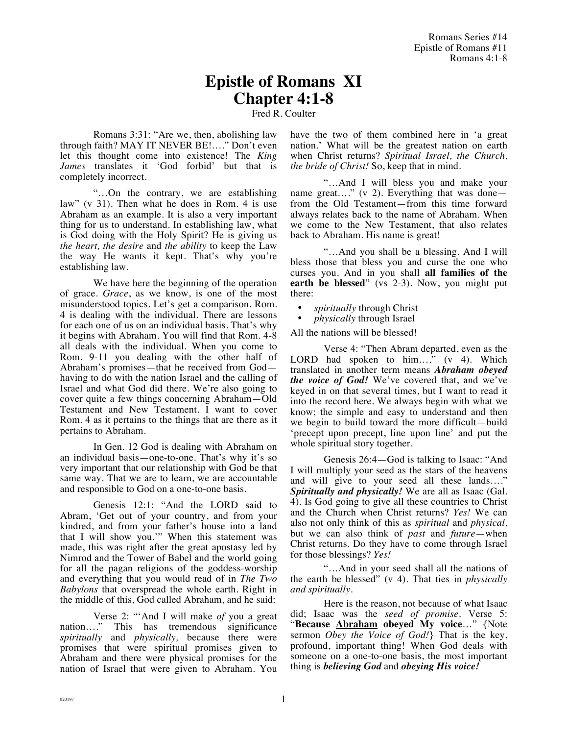## **Epistle of Romans XI Chapter 4:1-8**

Fred R. Coulter

Romans 3:31: "Are we, then, abolishing law through faith? MAY IT NEVER BE!…." Don't even let this thought come into existence! The *King James* translates it 'God forbid' but that is completely incorrect.

"…On the contrary, we are establishing law" (v 31). Then what he does in Rom. 4 is use Abraham as an example. It is also a very important thing for us to understand. In establishing law, what is God doing with the Holy Spirit? He is giving us *the heart, the desire* and *the ability* to keep the Law the way He wants it kept. That's why you're establishing law.

We have here the beginning of the operation of grace. *Grace*, as we know, is one of the most misunderstood topics. Let's get a comparison. Rom. 4 is dealing with the individual. There are lessons for each one of us on an individual basis. That's why it begins with Abraham. You will find that Rom. 4-8 all deals with the individual. When you come to Rom. 9-11 you dealing with the other half of Abraham's promises—that he received from God having to do with the nation Israel and the calling of Israel and what God did there. We're also going to cover quite a few things concerning Abraham—Old Testament and New Testament. I want to cover Rom. 4 as it pertains to the things that are there as it pertains to Abraham.

In Gen. 12 God is dealing with Abraham on an individual basis—one-to-one. That's why it's so very important that our relationship with God be that same way. That we are to learn, we are accountable and responsible to God on a one-to-one basis.

Genesis 12:1: "And the LORD said to Abram, 'Get out of your country, and from your kindred, and from your father's house into a land that I will show you.'" When this statement was made, this was right after the great apostasy led by Nimrod and the Tower of Babel and the world going for all the pagan religions of the goddess-worship and everything that you would read of in *The Two Babylons* that overspread the whole earth. Right in the middle of this, God called Abraham, and he said:

Verse 2: "'And I will make *of* you a great nation…." This has tremendous significance *spiritually* and *physically,* because there were promises that were spiritual promises given to Abraham and there were physical promises for the nation of Israel that were given to Abraham. You

have the two of them combined here in 'a great nation.' What will be the greatest nation on earth when Christ returns? *Spiritual Israel, the Church, the bride of Christ!* So, keep that in mind.

"…And I will bless you and make your name great...." (v 2). Everything that was done from the Old Testament—from this time forward always relates back to the name of Abraham. When we come to the New Testament, that also relates back to Abraham. His name is great!

"…And you shall be a blessing. And I will bless those that bless you and curse the one who curses you. And in you shall **all families of the earth be blessed**" (vs 2-3). Now, you might put there:

• *spiritually* through Christ

• *physically* through Israel

All the nations will be blessed!

Verse 4: "Then Abram departed, even as the LORD had spoken to him...." (v 4). Which translated in another term means *Abraham obeyed the voice of God!* We've covered that, and we've keyed in on that several times, but I want to read it into the record here. We always begin with what we know; the simple and easy to understand and then we begin to build toward the more difficult—build 'precept upon precept, line upon line' and put the whole spiritual story together.

Genesis 26:4—God is talking to Isaac: "And I will multiply your seed as the stars of the heavens and will give to your seed all these lands…." *Spiritually and physically!* We are all as Isaac (Gal. 4). Is God going to give all these countries to Christ and the Church when Christ returns? *Yes!* We can also not only think of this as *spiritual* and *physical*, but we can also think of *past* and *future*—when Christ returns*.* Do they have to come through Israel for those blessings? *Yes!*

"…And in your seed shall all the nations of the earth be blessed" (v 4). That ties in *physically and spiritually*.

Here is the reason, not because of what Isaac did; Isaac was the *seed of promise*. Verse 5: "**Because Abraham obeyed My voice**…" {Note sermon *Obey the Voice of God!*} That is the key, profound, important thing! When God deals with someone on a one-to-one basis, the most important thing is *believing God* and *obeying His voice!*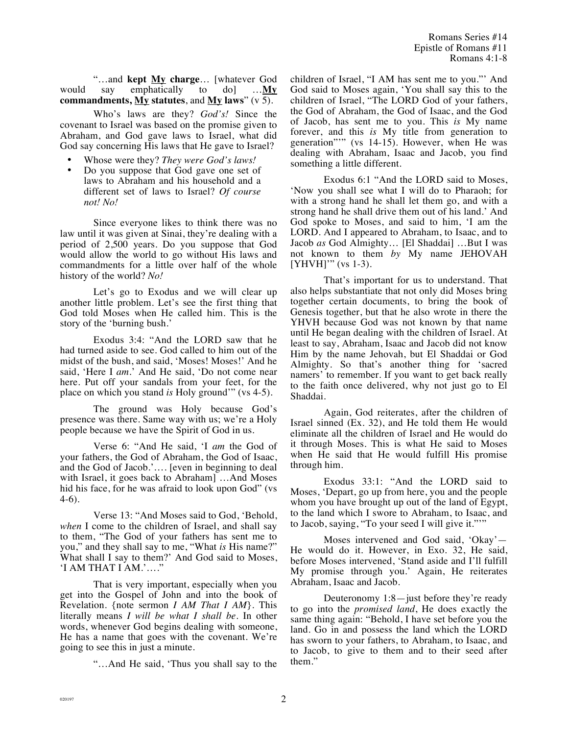Romans Series #14 Epistle of Romans #11 Romans 4:1-8

"…and **kept My charge**… [whatever God would say emphatically to do] …**My commandments, My statutes**, and **My laws**" (v 5).

Who's laws are they? *God's!* Since the covenant to Israel was based on the promise given to Abraham, and God gave laws to Israel, what did God say concerning His laws that He gave to Israel?

• Whose were they? *They were God's laws!*

• Do you suppose that God gave one set of laws to Abraham and his household and a different set of laws to Israel? *Of course not! No!*

Since everyone likes to think there was no law until it was given at Sinai, they're dealing with a period of 2,500 years. Do you suppose that God would allow the world to go without His laws and commandments for a little over half of the whole history of the world? *No!* 

Let's go to Exodus and we will clear up another little problem. Let's see the first thing that God told Moses when He called him. This is the story of the 'burning bush.'

Exodus 3:4: "And the LORD saw that he had turned aside to see. God called to him out of the midst of the bush, and said, 'Moses! Moses!' And he said, 'Here I *am*.' And He said, 'Do not come near here. Put off your sandals from your feet, for the place on which you stand *is* Holy ground'" (vs 4-5).

The ground was Holy because God's presence was there. Same way with us; we're a Holy people because we have the Spirit of God in us.

Verse 6: "And He said, 'I *am* the God of your fathers, the God of Abraham, the God of Isaac, and the God of Jacob.'…. [even in beginning to deal with Israel, it goes back to Abraham] …And Moses hid his face, for he was afraid to look upon God" (vs 4-6).

Verse 13: "And Moses said to God, 'Behold, *when* I come to the children of Israel, and shall say to them, "The God of your fathers has sent me to you," and they shall say to me, "What *is* His name?" What shall I say to them?' And God said to Moses, 'I AM THAT I AM.'…."

That is very important, especially when you get into the Gospel of John and into the book of Revelation. {note sermon *I AM That I AM*}. This literally means *I will be what I shall be.* In other words, whenever God begins dealing with someone, He has a name that goes with the covenant. We're going to see this in just a minute.

"…And He said, 'Thus you shall say to the

children of Israel, "I AM has sent me to you."' And God said to Moses again, 'You shall say this to the children of Israel, "The LORD God of your fathers, the God of Abraham, the God of Isaac, and the God of Jacob, has sent me to you. This *is* My name forever, and this *is* My title from generation to generation"'" (vs 14-15). However, when He was dealing with Abraham, Isaac and Jacob, you find something a little different.

Exodus 6:1 "And the LORD said to Moses, 'Now you shall see what I will do to Pharaoh; for with a strong hand he shall let them go, and with a strong hand he shall drive them out of his land.' And God spoke to Moses, and said to him, 'I am the LORD. And I appeared to Abraham, to Isaac, and to Jacob *as* God Almighty… [El Shaddai] …But I was not known to them *by* My name JEHOVAH [YHVH]" (vs 1-3).

That's important for us to understand. That also helps substantiate that not only did Moses bring together certain documents, to bring the book of Genesis together, but that he also wrote in there the YHVH because God was not known by that name until He began dealing with the children of Israel. At least to say, Abraham, Isaac and Jacob did not know Him by the name Jehovah, but El Shaddai or God Almighty. So that's another thing for 'sacred namers' to remember. If you want to get back really to the faith once delivered, why not just go to El Shaddai.

Again, God reiterates, after the children of Israel sinned (Ex. 32), and He told them He would eliminate all the children of Israel and He would do it through Moses. This is what He said to Moses when He said that He would fulfill His promise through him.

Exodus 33:1: "And the LORD said to Moses, 'Depart, go up from here, you and the people whom you have brought up out of the land of Egypt, to the land which I swore to Abraham, to Isaac, and to Jacob, saying, "To your seed I will give it."'"

Moses intervened and God said, 'Okay'— He would do it. However, in Exo. 32, He said, before Moses intervened, 'Stand aside and I'll fulfill My promise through you.' Again, He reiterates Abraham, Isaac and Jacob.

Deuteronomy 1:8—just before they're ready to go into the *promised land*, He does exactly the same thing again: "Behold, I have set before you the land. Go in and possess the land which the LORD has sworn to your fathers, to Abraham, to Isaac, and to Jacob, to give to them and to their seed after them."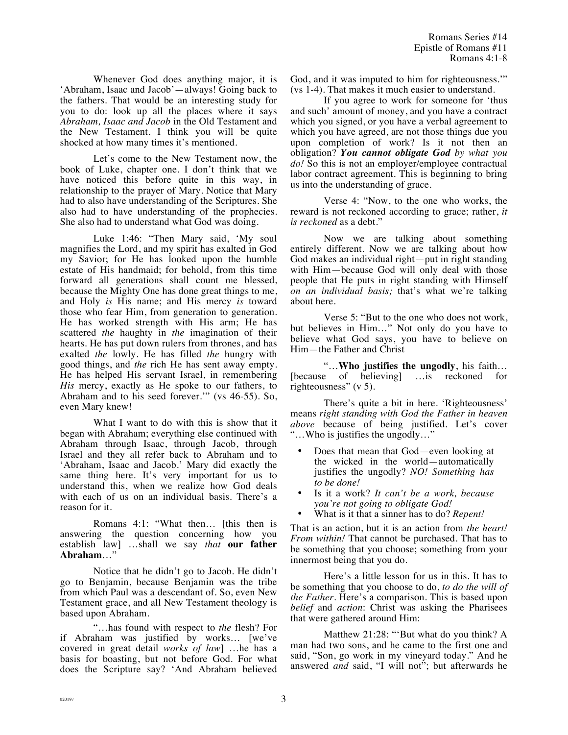Whenever God does anything major, it is 'Abraham, Isaac and Jacob'—always! Going back to the fathers. That would be an interesting study for you to do: look up all the places where it says *Abraham, Isaac and Jacob* in the Old Testament and the New Testament. I think you will be quite shocked at how many times it's mentioned.

Let's come to the New Testament now, the book of Luke, chapter one. I don't think that we have noticed this before quite in this way, in relationship to the prayer of Mary. Notice that Mary had to also have understanding of the Scriptures. She also had to have understanding of the prophecies. She also had to understand what God was doing.

Luke 1:46: "Then Mary said, 'My soul magnifies the Lord, and my spirit has exalted in God my Savior; for He has looked upon the humble estate of His handmaid; for behold, from this time forward all generations shall count me blessed, because the Mighty One has done great things to me, and Holy *is* His name; and His mercy *is* toward those who fear Him, from generation to generation. He has worked strength with His arm; He has scattered *the* haughty in *the* imagination of their hearts. He has put down rulers from thrones, and has exalted *the* lowly. He has filled *the* hungry with good things, and *the* rich He has sent away empty. He has helped His servant Israel, in remembering *His* mercy, exactly as He spoke to our fathers, to Abraham and to his seed forever.'" (vs 46-55). So, even Mary knew!

What I want to do with this is show that it began with Abraham; everything else continued with Abraham through Isaac, through Jacob, through Israel and they all refer back to Abraham and to 'Abraham, Isaac and Jacob.' Mary did exactly the same thing here. It's very important for us to understand this, when we realize how God deals with each of us on an individual basis. There's a reason for it.

Romans 4:1: "What then… [this then is answering the question concerning how you establish law] …shall we say *that* **our father Abraham**…"

Notice that he didn't go to Jacob. He didn't go to Benjamin, because Benjamin was the tribe from which Paul was a descendant of. So, even New Testament grace, and all New Testament theology is based upon Abraham.

"…has found with respect to *the* flesh? For if Abraham was justified by works… [we've covered in great detail *works of law*] …he has a basis for boasting, but not before God. For what does the Scripture say? 'And Abraham believed God, and it was imputed to him for righteousness.'" (vs 1-4). That makes it much easier to understand.

If you agree to work for someone for 'thus and such' amount of money, and you have a contract which you signed, or you have a verbal agreement to which you have agreed, are not those things due you upon completion of work? Is it not then an obligation? *You cannot obligate God by what you do!* So this is not an employer/employee contractual labor contract agreement. This is beginning to bring us into the understanding of grace.

Verse 4: "Now, to the one who works, the reward is not reckoned according to grace; rather, *it is reckoned* as a debt."

Now we are talking about something entirely different. Now we are talking about how God makes an individual right—put in right standing with Him—because God will only deal with those people that He puts in right standing with Himself *on an individual basis;* that's what we're talking about here.

Verse 5: "But to the one who does not work, but believes in Him…" Not only do you have to believe what God says, you have to believe on Him—the Father and Christ

"…**Who justifies the ungodly**, his faith… [because of believing] …is reckoned for righteousness" (v 5).

There's quite a bit in here. 'Righteousness' means *right standing with God the Father in heaven above* because of being justified. Let's cover "…Who is justifies the ungodly…"

- Does that mean that God—even looking at the wicked in the world—automatically justifies the ungodly? *NO! Something has to be done!*
- Is it a work? *It can't be a work, because you're not going to obligate God!*
- What is it that a sinner has to do? *Repent!*

That is an action, but it is an action from *the heart! From within!* That cannot be purchased. That has to be something that you choose; something from your innermost being that you do.

Here's a little lesson for us in this. It has to be something that you choose to do, *to do the will of the Father.* Here's a comparison. This is based upon *belief* and *action*: Christ was asking the Pharisees that were gathered around Him:

Matthew 21:28: "'But what do you think? A man had two sons, and he came to the first one and said, "Son, go work in my vineyard today." And he answered *and* said, "I will not"; but afterwards he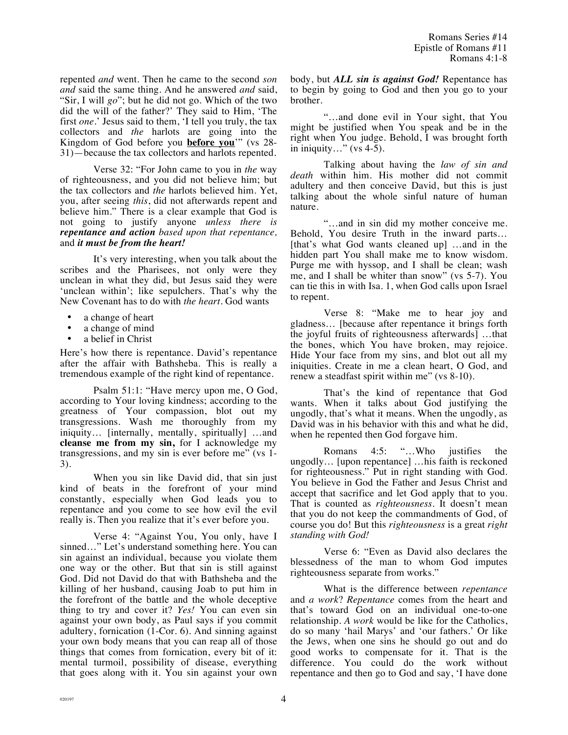repented *and* went. Then he came to the second *son and* said the same thing. And he answered *and* said, "Sir, I will *go*"; but he did not go. Which of the two did the will of the father?' They said to Him, 'The first *one*.' Jesus said to them, 'I tell you truly, the tax collectors and *the* harlots are going into the Kingdom of God before you **before you**'" (vs 28- 31)—because the tax collectors and harlots repented.

Verse 32: "For John came to you in *the* way of righteousness, and you did not believe him; but the tax collectors and *the* harlots believed him. Yet, you, after seeing *this*, did not afterwards repent and believe him." There is a clear example that God is not going to justify anyone *unless there is repentance and action based upon that repentance,* and *it must be from the heart!*

It's very interesting, when you talk about the scribes and the Pharisees, not only were they unclean in what they did, but Jesus said they were 'unclean within'; like sepulchers. That's why the New Covenant has to do with *the heart*. God wants

- a change of heart
- a change of mind<br>• a belief in Christ
- a belief in Christ

Here's how there is repentance. David's repentance after the affair with Bathsheba. This is really a tremendous example of the right kind of repentance.

Psalm 51:1: "Have mercy upon me, O God, according to Your loving kindness; according to the greatness of Your compassion, blot out my transgressions. Wash me thoroughly from my iniquity… [internally, mentally, spiritually] …and **cleanse me from my sin,** for I acknowledge my transgressions, and my sin is ever before me" (vs 1- 3).

When you sin like David did, that sin just kind of beats in the forefront of your mind constantly, especially when God leads you to repentance and you come to see how evil the evil really is. Then you realize that it's ever before you.

Verse 4: "Against You, You only, have I sinned…" Let's understand something here. You can sin against an individual, because you violate them one way or the other. But that sin is still against God. Did not David do that with Bathsheba and the killing of her husband, causing Joab to put him in the forefront of the battle and the whole deceptive thing to try and cover it? *Yes!* You can even sin against your own body, as Paul says if you commit adultery, fornication (1-Cor. 6). And sinning against your own body means that you can reap all of those things that comes from fornication, every bit of it: mental turmoil, possibility of disease, everything that goes along with it. You sin against your own

body, but *ALL sin is against God!* Repentance has to begin by going to God and then you go to your brother.

"…and done evil in Your sight, that You might be justified when You speak and be in the right when You judge. Behold, I was brought forth in iniquity..." (vs  $4-5$ ).

Talking about having the *law of sin and death* within him. His mother did not commit adultery and then conceive David, but this is just talking about the whole sinful nature of human nature.

"…and in sin did my mother conceive me. Behold, You desire Truth in the inward parts… [that's what God wants cleaned up] ...and in the hidden part You shall make me to know wisdom. Purge me with hyssop, and I shall be clean; wash me, and I shall be whiter than snow" (vs 5-7). You can tie this in with Isa. 1, when God calls upon Israel to repent.

Verse 8: "Make me to hear joy and gladness… [because after repentance it brings forth the joyful fruits of righteousness afterwards] …that the bones, which You have broken, may rejoice. Hide Your face from my sins, and blot out all my iniquities. Create in me a clean heart, O God, and renew a steadfast spirit within me" (vs 8-10).

That's the kind of repentance that God wants. When it talks about God justifying the ungodly, that's what it means. When the ungodly, as David was in his behavior with this and what he did, when he repented then God forgave him.

Romans 4:5: "…Who justifies the ungodly… [upon repentance] …his faith is reckoned for righteousness." Put in right standing with God. You believe in God the Father and Jesus Christ and accept that sacrifice and let God apply that to you. That is counted as *righteousness*. It doesn't mean that you do not keep the commandments of God, of course you do! But this *righteousness* is a great *right standing with God!*

Verse 6: "Even as David also declares the blessedness of the man to whom God imputes righteousness separate from works."

What is the difference between *repentance* and *a work*? *Repentance* comes from the heart and that's toward God on an individual one-to-one relationship. *A work* would be like for the Catholics, do so many 'hail Marys' and 'our fathers.' Or like the Jews, when one sins he should go out and do good works to compensate for it. That is the difference. You could do the work without repentance and then go to God and say, 'I have done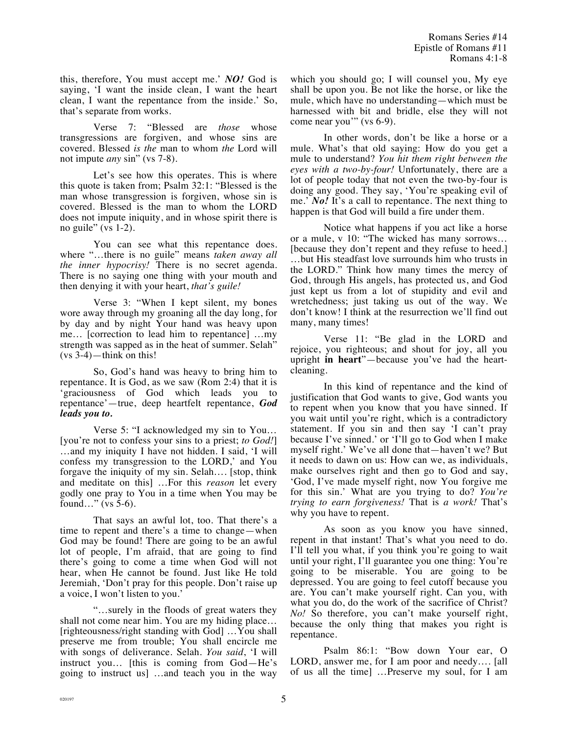this, therefore, You must accept me.' *NO!* God is saying, 'I want the inside clean, I want the heart clean, I want the repentance from the inside.' So, that's separate from works.

Verse 7: "Blessed are *those* whose transgressions are forgiven, and whose sins are covered. Blessed *is the* man to whom *the* Lord will not impute *any* sin" (vs 7-8).

Let's see how this operates. This is where this quote is taken from; Psalm 32:1: "Blessed is the man whose transgression is forgiven, whose sin is covered. Blessed is the man to whom the LORD does not impute iniquity, and in whose spirit there is no guile" (vs  $1-2$ ).

You can see what this repentance does. where "…there is no guile" means *taken away all the inner hypocrisy!* There is no secret agenda. There is no saying one thing with your mouth and then denying it with your heart, *that's guile!*

Verse 3: "When I kept silent, my bones wore away through my groaning all the day long, for by day and by night Your hand was heavy upon me… [correction to lead him to repentance] …my strength was sapped as in the heat of summer. Selah" (vs 3-4)—think on this!

So, God's hand was heavy to bring him to repentance. It is God, as we saw (Rom 2:4) that it is 'graciousness of God which leads you to repentance'—true, deep heartfelt repentance, *God leads you to.*

Verse 5: "I acknowledged my sin to You… [you're not to confess your sins to a priest; *to God!*] …and my iniquity I have not hidden. I said, 'I will confess my transgression to the LORD,' and You forgave the iniquity of my sin. Selah…. [stop, think and meditate on this] …For this *reason* let every godly one pray to You in a time when You may be found…" (vs 5-6).

That says an awful lot, too. That there's a time to repent and there's a time to change—when God may be found! There are going to be an awful lot of people, I'm afraid, that are going to find there's going to come a time when God will not hear, when He cannot be found. Just like He told Jeremiah, 'Don't pray for this people. Don't raise up a voice, I won't listen to you.'

"…surely in the floods of great waters they shall not come near him. You are my hiding place… [righteousness/right standing with God] …You shall preserve me from trouble; You shall encircle me with songs of deliverance. Selah. *You said*, 'I will instruct you… [this is coming from God—He's going to instruct us] …and teach you in the way which you should go; I will counsel you, My eye shall be upon you. Be not like the horse, or like the mule, which have no understanding—which must be harnessed with bit and bridle, else they will not come near you'" (vs 6-9).

In other words, don't be like a horse or a mule. What's that old saying: How do you get a mule to understand? *You hit them right between the eyes with a two-by-four!* Unfortunately, there are a lot of people today that not even the two-by-four is doing any good. They say, 'You're speaking evil of me.' *No!* It's a call to repentance. The next thing to happen is that God will build a fire under them.

Notice what happens if you act like a horse or a mule, v 10: "The wicked has many sorrows… [because they don't repent and they refuse to heed.] …but His steadfast love surrounds him who trusts in the LORD." Think how many times the mercy of God, through His angels, has protected us, and God just kept us from a lot of stupidity and evil and wretchedness; just taking us out of the way. We don't know! I think at the resurrection we'll find out many, many times!

Verse 11: "Be glad in the LORD and rejoice, you righteous; and shout for joy, all you upright **in heart**"—because you've had the heartcleaning.

In this kind of repentance and the kind of justification that God wants to give, God wants you to repent when you know that you have sinned. If you wait until you're right, which is a contradictory statement. If you sin and then say 'I can't pray because I've sinned.' or 'I'll go to God when I make myself right.' We've all done that—haven't we? But it needs to dawn on us: How can we, as individuals, make ourselves right and then go to God and say, 'God, I've made myself right, now You forgive me for this sin.' What are you trying to do? *You're trying to earn forgiveness!* That is *a work!* That's why you have to repent.

As soon as you know you have sinned, repent in that instant! That's what you need to do. I'll tell you what, if you think you're going to wait until your right, I'll guarantee you one thing: You're going to be miserable. You are going to be depressed. You are going to feel cutoff because you are. You can't make yourself right. Can you, with what you do, do the work of the sacrifice of Christ? *No!* So therefore, you can't make yourself right, because the only thing that makes you right is repentance.

Psalm 86:1: "Bow down Your ear, O LORD, answer me, for I am poor and needy…. [all of us all the time] …Preserve my soul, for I am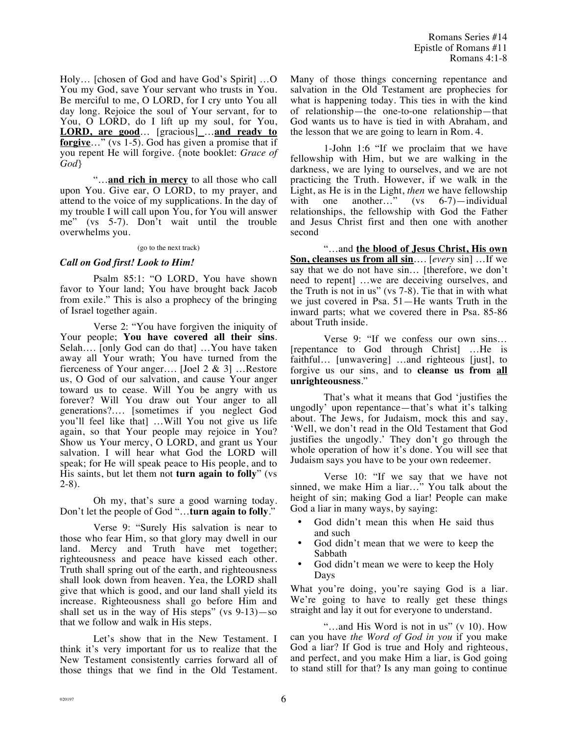Holy… [chosen of God and have God's Spirit] …O You my God, save Your servant who trusts in You. Be merciful to me, O LORD, for I cry unto You all day long. Rejoice the soul of Your servant, for to You, O LORD, do I lift up my soul, for You, **LORD, are good**… [gracious] …**and ready to forgive**…" (vs 1-5). God has given a promise that if you repent He will forgive. {note booklet: *Grace of God*}

"…**and rich in mercy** to all those who call upon You. Give ear, O LORD, to my prayer, and attend to the voice of my supplications. In the day of my trouble I will call upon You, for You will answer me" (vs 5-7). Don't wait until the trouble overwhelms you.

## (go to the next track)

## *Call on God first! Look to Him!*

Psalm 85:1: "O LORD, You have shown favor to Your land; You have brought back Jacob from exile." This is also a prophecy of the bringing of Israel together again.

Verse 2: "You have forgiven the iniquity of Your people; **You have covered all their sins**. Selah…. [only God can do that] …You have taken away all Your wrath; You have turned from the fierceness of Your anger…. [Joel 2 & 3] …Restore us, O God of our salvation, and cause Your anger toward us to cease. Will You be angry with us forever? Will You draw out Your anger to all generations?…. [sometimes if you neglect God you'll feel like that] …Will You not give us life again, so that Your people may rejoice in You? Show us Your mercy, O LORD, and grant us Your salvation. I will hear what God the LORD will speak; for He will speak peace to His people, and to His saints, but let them not **turn again to folly**" (vs 2-8).

Oh my, that's sure a good warning today. Don't let the people of God "…**turn again to folly**."

Verse 9: "Surely His salvation is near to those who fear Him, so that glory may dwell in our land. Mercy and Truth have met together; righteousness and peace have kissed each other. Truth shall spring out of the earth, and righteousness shall look down from heaven. Yea, the LORD shall give that which is good, and our land shall yield its increase. Righteousness shall go before Him and shall set us in the way of His steps" (vs 9-13)—so that we follow and walk in His steps.

Let's show that in the New Testament. I think it's very important for us to realize that the New Testament consistently carries forward all of those things that we find in the Old Testament. Many of those things concerning repentance and salvation in the Old Testament are prophecies for what is happening today. This ties in with the kind of relationship—the one-to-one relationship—that God wants us to have is tied in with Abraham, and the lesson that we are going to learn in Rom. 4.

1-John 1:6 "If we proclaim that we have fellowship with Him, but we are walking in the darkness, we are lying to ourselves, and we are not practicing the Truth. However, if we walk in the Light, as He is in the Light, *then* we have fellowship with one another…" (vs 6-7)—individual relationships, the fellowship with God the Father and Jesus Christ first and then one with another second

"…and **the blood of Jesus Christ, His own Son, cleanses us from all sin**…. [*every* sin] …If we say that we do not have sin… [therefore, we don't need to repent] …we are deceiving ourselves, and the Truth is not in us" (vs 7-8). Tie that in with what we just covered in Psa. 51—He wants Truth in the inward parts; what we covered there in Psa. 85-86 about Truth inside.

Verse 9: "If we confess our own sins… [repentance to God through Christ] …He is faithful… [unwavering] …and righteous [just], to forgive us our sins, and to **cleanse us from all unrighteousness**."

That's what it means that God 'justifies the ungodly' upon repentance—that's what it's talking about. The Jews, for Judaism, mock this and say, 'Well, we don't read in the Old Testament that God justifies the ungodly.' They don't go through the whole operation of how it's done. You will see that Judaism says you have to be your own redeemer.

Verse 10: "If we say that we have not sinned, we make Him a liar…" You talk about the height of sin; making God a liar! People can make God a liar in many ways, by saying:

- God didn't mean this when He said thus and such
- God didn't mean that we were to keep the Sabbath
- God didn't mean we were to keep the Holy Days

What you're doing, you're saying God is a liar. We're going to have to really get these things straight and lay it out for everyone to understand.

"…and His Word is not in us" (v 10). How can you have *the Word of God in you* if you make God a liar? If God is true and Holy and righteous, and perfect, and you make Him a liar, is God going to stand still for that? Is any man going to continue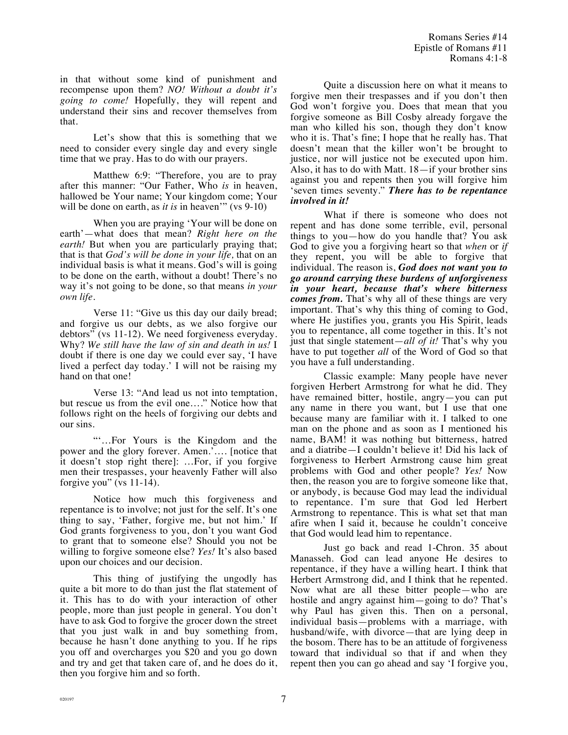in that without some kind of punishment and recompense upon them? *NO! Without a doubt it's going to come!* Hopefully, they will repent and understand their sins and recover themselves from that.

Let's show that this is something that we need to consider every single day and every single time that we pray. Has to do with our prayers.

Matthew 6:9: "Therefore, you are to pray after this manner: "Our Father, Who *is* in heaven, hallowed be Your name; Your kingdom come; Your will be done on earth, as *it is* in heaven'" (vs 9-10)

When you are praying 'Your will be done on earth'—what does that mean? *Right here on the earth!* But when you are particularly praying that; that is that *God's will be done in your life,* that on an individual basis is what it means. God's will is going to be done on the earth, without a doubt! There's no way it's not going to be done, so that means *in your own life.* 

Verse 11: "Give us this day our daily bread; and forgive us our debts, as we also forgive our debtors" (vs 11-12). We need forgiveness everyday. Why? *We still have the law of sin and death in us!* I doubt if there is one day we could ever say, 'I have lived a perfect day today.' I will not be raising my hand on that one!

Verse 13: "And lead us not into temptation, but rescue us from the evil one…." Notice how that follows right on the heels of forgiving our debts and our sins.

"'…For Yours is the Kingdom and the power and the glory forever. Amen.'…. [notice that it doesn't stop right there]: …For, if you forgive men their trespasses, your heavenly Father will also forgive you" (vs  $11-14$ ).

Notice how much this forgiveness and repentance is to involve; not just for the self. It's one thing to say, 'Father, forgive me, but not him.' If God grants forgiveness to you, don't you want God to grant that to someone else? Should you not be willing to forgive someone else? *Yes!* It's also based upon our choices and our decision.

This thing of justifying the ungodly has quite a bit more to do than just the flat statement of it. This has to do with your interaction of other people, more than just people in general. You don't have to ask God to forgive the grocer down the street that you just walk in and buy something from, because he hasn't done anything to you. If he rips you off and overcharges you \$20 and you go down and try and get that taken care of, and he does do it, then you forgive him and so forth.

Quite a discussion here on what it means to forgive men their trespasses and if you don't then God won't forgive you. Does that mean that you forgive someone as Bill Cosby already forgave the man who killed his son, though they don't know who it is. That's fine; I hope that he really has. That doesn't mean that the killer won't be brought to justice, nor will justice not be executed upon him. Also, it has to do with Matt.  $18$ —if your brother sins against you and repents then you will forgive him 'seven times seventy." *There has to be repentance involved in it!*

What if there is someone who does not repent and has done some terrible, evil, personal things to you—how do you handle that? You ask God to give you a forgiving heart so that *when* or *if* they repent, you will be able to forgive that individual. The reason is, *God does not want you to go around carrying these burdens of unforgiveness in your heart, because that's where bitterness comes from.* That's why all of these things are very important. That's why this thing of coming to God, where He justifies you, grants you His Spirit, leads you to repentance, all come together in this. It's not just that single statement—*all of it!* That's why you have to put together *all* of the Word of God so that you have a full understanding.

Classic example: Many people have never forgiven Herbert Armstrong for what he did. They have remained bitter, hostile, angry—you can put any name in there you want, but I use that one because many are familiar with it. I talked to one man on the phone and as soon as I mentioned his name, BAM! it was nothing but bitterness, hatred and a diatribe—I couldn't believe it! Did his lack of forgiveness to Herbert Armstrong cause him great problems with God and other people? *Yes!* Now then, the reason you are to forgive someone like that, or anybody, is because God may lead the individual to repentance. I'm sure that God led Herbert Armstrong to repentance. This is what set that man afire when I said it, because he couldn't conceive that God would lead him to repentance.

Just go back and read 1-Chron. 35 about Manasseh. God can lead anyone He desires to repentance, if they have a willing heart. I think that Herbert Armstrong did, and I think that he repented. Now what are all these bitter people—who are hostile and angry against him—going to do? That's why Paul has given this. Then on a personal, individual basis—problems with a marriage, with husband/wife, with divorce—that are lying deep in the bosom. There has to be an attitude of forgiveness toward that individual so that if and when they repent then you can go ahead and say 'I forgive you,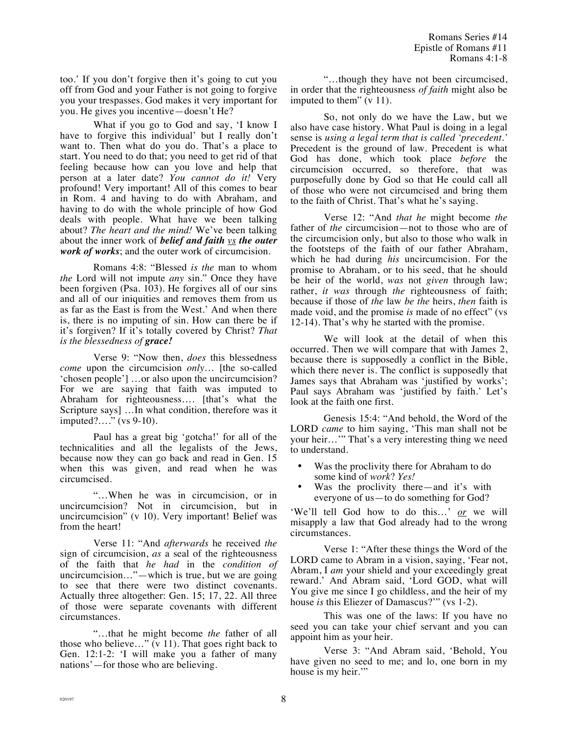too.' If you don't forgive then it's going to cut you off from God and your Father is not going to forgive you your trespasses. God makes it very important for you. He gives you incentive—doesn't He?

What if you go to God and say, 'I know I have to forgive this individual' but I really don't want to. Then what do you do. That's a place to start. You need to do that; you need to get rid of that feeling because how can you love and help that person at a later date? *You cannot do it!* Very profound! Very important! All of this comes to bear in Rom. 4 and having to do with Abraham, and having to do with the whole principle of how God deals with people. What have we been talking about? *The heart and the mind!* We've been talking about the inner work of *belief and faith vs the outer work of works*; and the outer work of circumcision.

Romans 4:8: "Blessed *is the* man to whom *the* Lord will not impute *any* sin." Once they have been forgiven (Psa. 103). He forgives all of our sins and all of our iniquities and removes them from us as far as the East is from the West.' And when there is, there is no imputing of sin. How can there be if it's forgiven? If it's totally covered by Christ? *That is the blessedness of grace!*

Verse 9: "Now then, *does* this blessedness *come* upon the circumcision *only*… [the so-called 'chosen people'] …or also upon the uncircumcision? For we are saying that faith was imputed to Abraham for righteousness…. [that's what the Scripture says] …In what condition, therefore was it imputed?…." (vs 9-10).

Paul has a great big 'gotcha!' for all of the technicalities and all the legalists of the Jews, because now they can go back and read in Gen. 15 when this was given, and read when he was circumcised.

"…When he was in circumcision, or in uncircumcision? Not in circumcision, but in uncircumcision" (v 10). Very important! Belief was from the heart!

Verse 11: "And *afterwards* he received *the* sign of circumcision, *as* a seal of the righteousness of the faith that *he had* in the *condition of* uncircumcision…"—which is true, but we are going to see that there were two distinct covenants. Actually three altogether: Gen. 15; 17, 22. All three of those were separate covenants with different circumstances.

"…that he might become *the* father of all those who believe…" (v 11). That goes right back to Gen. 12:1-2: 'I will make you a father of many nations'—for those who are believing.

"…though they have not been circumcised, in order that the righteousness *of faith* might also be imputed to them" (v 11).

So, not only do we have the Law, but we also have case history. What Paul is doing in a legal sense is *using a legal term that is called 'precedent.'* Precedent is the ground of law. Precedent is what God has done, which took place *before* the circumcision occurred, so therefore, that was purposefully done by God so that He could call all of those who were not circumcised and bring them to the faith of Christ. That's what he's saying.

Verse 12: "And *that he* might become *the* father of *the* circumcision—not to those who are of the circumcision only, but also to those who walk in the footsteps of the faith of our father Abraham, which he had during *his* uncircumcision. For the promise to Abraham, or to his seed, that he should be heir of the world, *was* not *given* through law; rather, *it was* through *the* righteousness of faith; because if those of *the* law *be the* heirs, *then* faith is made void, and the promise *is* made of no effect" (vs 12-14). That's why he started with the promise.

We will look at the detail of when this occurred. Then we will compare that with James 2, because there is supposedly a conflict in the Bible, which there never is. The conflict is supposedly that James says that Abraham was 'justified by works'; Paul says Abraham was 'justified by faith.' Let's look at the faith one first.

Genesis 15:4: "And behold, the Word of the LORD *came* to him saying, 'This man shall not be your heir…'" That's a very interesting thing we need to understand.

- Was the proclivity there for Abraham to do some kind of *work*? *Yes!*
- Was the proclivity there—and it's with everyone of us—to do something for God?

'We'll tell God how to do this…' *or* we will misapply a law that God already had to the wrong circumstances.

Verse 1: "After these things the Word of the LORD came to Abram in a vision, saying, 'Fear not, Abram, I *am* your shield and your exceedingly great reward.' And Abram said, 'Lord GOD, what will You give me since I go childless, and the heir of my house *is* this Eliezer of Damascus?'" (vs 1-2).

This was one of the laws: If you have no seed you can take your chief servant and you can appoint him as your heir.

Verse 3: "And Abram said, 'Behold, You have given no seed to me; and lo, one born in my house is my heir."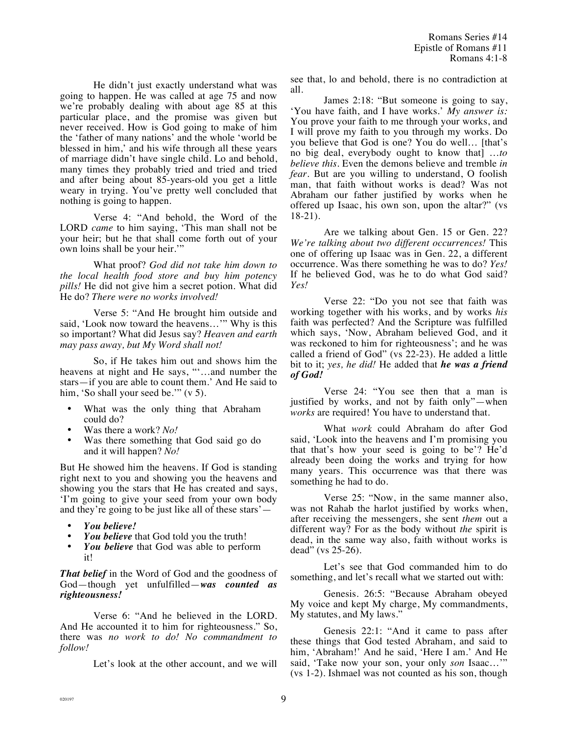He didn't just exactly understand what was going to happen. He was called at age 75 and now we're probably dealing with about age 85 at this particular place, and the promise was given but never received. How is God going to make of him the 'father of many nations' and the whole 'world be blessed in him,' and his wife through all these years of marriage didn't have single child. Lo and behold, many times they probably tried and tried and tried and after being about 85-years-old you get a little weary in trying. You've pretty well concluded that nothing is going to happen.

Verse 4: "And behold, the Word of the LORD *came* to him saying, 'This man shall not be your heir; but he that shall come forth out of your own loins shall be your heir."

What proof? *God did not take him down to the local health food store and buy him potency pills!* He did not give him a secret potion. What did He do? *There were no works involved!*

Verse 5: "And He brought him outside and said, 'Look now toward the heavens…'" Why is this so important? What did Jesus say? *Heaven and earth may pass away, but My Word shall not!*

So, if He takes him out and shows him the heavens at night and He says, "'…and number the stars—if you are able to count them.' And He said to him, 'So shall your seed be.'" (v 5).

- What was the only thing that Abraham could do?
- Was there a work? *No!*
- Was there something that God said go do and it will happen? *No!*

But He showed him the heavens. If God is standing right next to you and showing you the heavens and showing you the stars that He has created and says, 'I'm going to give your seed from your own body and they're going to be just like all of these stars'—

- *You believe!*
- You believe that God told you the truth!
- You believe that God was able to perform it!

*That belief* in the Word of God and the goodness of God—though yet unfulfilled—*was counted as righteousness!*

Verse 6: "And he believed in the LORD. And He accounted it to him for righteousness." So, there was *no work to do! No commandment to follow!* 

Let's look at the other account, and we will

see that, lo and behold, there is no contradiction at all.

James 2:18: "But someone is going to say, 'You have faith, and I have works.' *My answer is:* You prove your faith to me through your works, and I will prove my faith to you through my works. Do you believe that God is one? You do well… [that's no big deal, everybody ought to know that] …*to believe this*. Even the demons believe and tremble *in fear.* But are you willing to understand, O foolish man, that faith without works is dead? Was not Abraham our father justified by works when he offered up Isaac, his own son, upon the altar?" (vs 18-21).

Are we talking about Gen. 15 or Gen. 22? *We're talking about two different occurrences!* This one of offering up Isaac was in Gen. 22, a different occurrence. Was there something he was to do? *Yes!* If he believed God, was he to do what God said? *Yes!*

Verse 22: "Do you not see that faith was working together with his works, and by works *his* faith was perfected? And the Scripture was fulfilled which says, 'Now, Abraham believed God, and it was reckoned to him for righteousness'; and he was called a friend of God" (vs 22-23). He added a little bit to it; *yes, he did!* He added that *he was a friend of God!*

Verse 24: "You see then that a man is justified by works, and not by faith only"—when *works* are required! You have to understand that.

What *work* could Abraham do after God said, 'Look into the heavens and I'm promising you that that's how your seed is going to be'? He'd already been doing the works and trying for how many years. This occurrence was that there was something he had to do.

Verse 25: "Now, in the same manner also, was not Rahab the harlot justified by works when, after receiving the messengers, she sent *them* out a different way? For as the body without *the* spirit is dead, in the same way also, faith without works is dead" (vs 25-26).

Let's see that God commanded him to do something, and let's recall what we started out with:

Genesis. 26:5: "Because Abraham obeyed My voice and kept My charge, My commandments, My statutes, and My laws."

Genesis 22:1: "And it came to pass after these things that God tested Abraham, and said to him, 'Abraham!' And he said, 'Here I am.' And He said, 'Take now your son, your only *son* Isaac…'" (vs 1-2). Ishmael was not counted as his son, though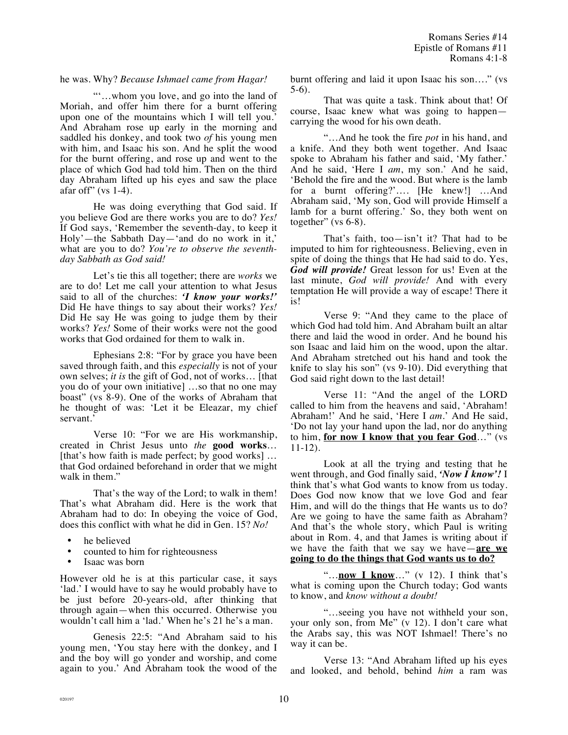## he was. Why? *Because Ishmael came from Hagar!*

"'…whom you love, and go into the land of Moriah, and offer him there for a burnt offering upon one of the mountains which I will tell you.' And Abraham rose up early in the morning and saddled his donkey, and took two *of* his young men with him, and Isaac his son. And he split the wood for the burnt offering, and rose up and went to the place of which God had told him. Then on the third day Abraham lifted up his eyes and saw the place afar of  $f''$  (vs 1-4).

He was doing everything that God said. If you believe God are there works you are to do? *Yes!* If God says, 'Remember the seventh-day, to keep it Holy'—the Sabbath Day—'and do no work in it,' what are you to do? *You're to observe the seventhday Sabbath as God said!*

Let's tie this all together; there are *works* we are to do! Let me call your attention to what Jesus said to all of the churches: *'I know your works!'* Did He have things to say about their works? *Yes!* Did He say He was going to judge them by their works? *Yes!* Some of their works were not the good works that God ordained for them to walk in.

Ephesians 2:8: "For by grace you have been saved through faith, and this *especially* is not of your own selves; *it is* the gift of God, not of works… [that you do of your own initiative] …so that no one may boast" (vs 8-9). One of the works of Abraham that he thought of was: 'Let it be Eleazar, my chief servant.'

Verse 10: "For we are His workmanship, created in Christ Jesus unto *the* **good works**… [that's how faith is made perfect; by good works] ... that God ordained beforehand in order that we might walk in them."

That's the way of the Lord; to walk in them! That's what Abraham did. Here is the work that Abraham had to do: In obeying the voice of God, does this conflict with what he did in Gen. 15? *No!*

- he believed
- counted to him for righteousness
- Isaac was born

However old he is at this particular case, it says 'lad.' I would have to say he would probably have to be just before 20-years-old, after thinking that through again—when this occurred. Otherwise you wouldn't call him a 'lad.' When he's 21 he's a man.

Genesis 22:5: "And Abraham said to his young men, 'You stay here with the donkey, and I and the boy will go yonder and worship, and come again to you.' And Abraham took the wood of the burnt offering and laid it upon Isaac his son…." (vs 5-6).

That was quite a task. Think about that! Of course, Isaac knew what was going to happen carrying the wood for his own death.

"…And he took the fire *pot* in his hand, and a knife. And they both went together. And Isaac spoke to Abraham his father and said, 'My father.' And he said, 'Here I *am*, my son.' And he said, 'Behold the fire and the wood. But where is the lamb for a burnt offering?'…. [He knew!] …And Abraham said, 'My son, God will provide Himself a lamb for a burnt offering.' So, they both went on together" (vs 6-8).

That's faith, too—isn't it? That had to be imputed to him for righteousness. Believing, even in spite of doing the things that He had said to do. Yes, *God will provide!* Great lesson for us! Even at the last minute, *God will provide!* And with every temptation He will provide a way of escape! There it is!

Verse 9: "And they came to the place of which God had told him. And Abraham built an altar there and laid the wood in order. And he bound his son Isaac and laid him on the wood, upon the altar. And Abraham stretched out his hand and took the knife to slay his son" (vs 9-10). Did everything that God said right down to the last detail!

Verse 11: "And the angel of the LORD called to him from the heavens and said, 'Abraham! Abraham!' And he said, 'Here I *am*.' And He said, 'Do not lay your hand upon the lad, nor do anything to him, **for now I know that you fear God**…" (vs 11-12).

Look at all the trying and testing that he went through, and God finally said, *'Now I know'!* I think that's what God wants to know from us today. Does God now know that we love God and fear Him, and will do the things that He wants us to do? Are we going to have the same faith as Abraham? And that's the whole story, which Paul is writing about in Rom. 4, and that James is writing about if we have the faith that we say we have—**are we going to do the things that God wants us to do?**

"…**now I know**…" (v 12). I think that's what is coming upon the Church today; God wants to know, and *know without a doubt!*

"…seeing you have not withheld your son, your only son, from Me" (v 12). I don't care what the Arabs say, this was NOT Ishmael! There's no way it can be.

Verse 13: "And Abraham lifted up his eyes and looked, and behold, behind *him* a ram was